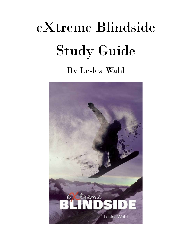# eXtreme Blindside Study Guide

### By Leslea Wahl

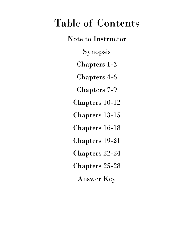### Table of Contents

Note to Instructor Synopsis Chapters 1-3 Chapters 4-6 Chapters 7-9 Chapters 10-12 Chapters 13-15 Chapters 16-18 Chapters 19-21 Chapters 22-24 Chapters 25-28 Answer Key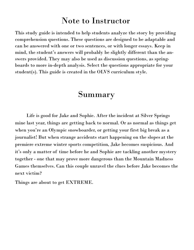### Note to Instructor

This study guide is intended to help students analyze the story by providing comprehension questions. These questions are designed to be adaptable and can be answered with one or two sentences, or with longer essays. Keep in mind, the student's answers will probably be slightly different than the answers provided. They may also be used as discussion questions, as springboards to more in-depth analysis. Select the questions appropriate for your student(s). This guide is created in the OLVS curriculum style.

### Summary

Life is good for Jake and Sophie. After the incident at Silver Springs mine last year, things are getting back to normal. Or as normal as things get when you're an Olympic snowboarder, or getting your first big break as a journalist! But when strange accidents start happening on the slopes at the premiere extreme winter sports competition, Jake becomes suspicious. And it's only a matter of time before he and Sophie are tackling another mystery together - one that may prove more dangerous than the Mountain Madness Games themselves. Can this couple unravel the clues before Jake becomes the next victim?

Things are about to get EXTREME.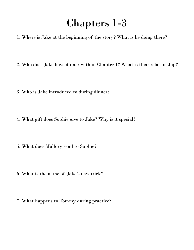### Chapters 1-3

- 1. Where is Jake at the beginning of the story? What is he doing there?
- 2. Who does Jake have dinner with in Chapter 1? What is their relationship?
- 3. Who is Jake introduced to during dinner?
- 4. What gift does Sophie give to Jake? Why is it special?
- 5. What does Mallory send to Sophie?
- 6. What is the name of Jake's new trick?
- 7. What happens to Tommy during practice?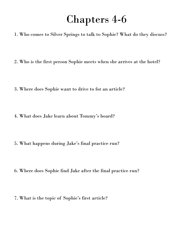### Chapters 4-6

- 1. Who comes to Silver Springs to talk to Sophie? What do they discuss?
- 2. Who is the first person Sophie meets when she arrives at the hotel?
- 3. Where does Sophie want to drive to for an article?
- 4. What does Jake learn about Tommy's board?
- 5. What happens during Jake's final practice run?
- 6. Where does Sophie find Jake after the final practice run?
- 7. What is the topic of Sophie's first article?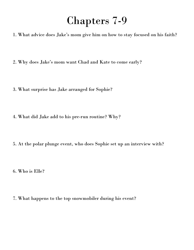### Chapters 7-9

1. What advice does Jake's mom give him on how to stay focused on his faith?

2. Why does Jake's mom want Chad and Kate to come early?

3. What surprise has Jake arranged for Sophie?

4. What did Jake add to his pre-run routine? Why?

5. At the polar plunge event, who does Sophie set up an interview with?

6. Who is Elle?

7. What happens to the top snowmobiler during his event?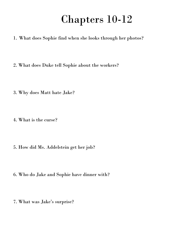### Chapters 10-12

- 1. What does Sophie find when she looks through her photos?
- 2. What does Duke tell Sophie about the workers?
- 3. Why does Matt hate Jake?
- 4. What is the curse?
- 5. How did Ms. Addelstein get her job?
- 6. Who do Jake and Sophie have dinner with?
- 7. What was Jake's surprise?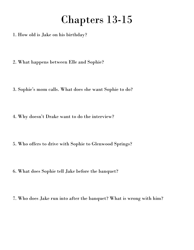### Chapters 13-15

- 1. How old is Jake on his birthday?
- 2. What happens between Elle and Sophie?
- 3. Sophie's mom calls. What does she want Sophie to do?
- 4. Why doesn't Drake want to do the interview?
- 5. Who offers to drive with Sophie to Glenwood Springs?
- 6. What does Sophie tell Jake before the banquet?
- 7. Who does Jake run into after the banquet? What is wrong with him?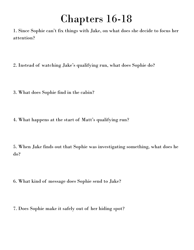## Chapters 16-18

1. Since Sophie can't fix things with Jake, on what does she decide to focus her attention?

2. Instead of watching Jake's qualifying run, what does Sophie do?

- 3. What does Sophie find in the cabin?
- 4. What happens at the start of Matt's qualifying run?

5. When Jake finds out that Sophie was investigating something, what does he do?

6. What kind of message does Sophie send to Jake?

7. Does Sophie make it safely out of her hiding spot?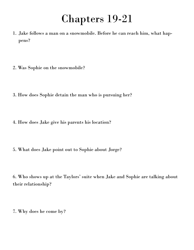### Chapters 19-21

- 1. Jake follows a man on a snowmobile. Before he can reach him, what happens?
- 2. Was Sophie on the snowmobile?
- 3. How does Sophie detain the man who is pursuing her?
- 4. How does Jake give his parents his location?
- 5. What does Jake point out to Sophie about Jorge?

6. Who shows up at the Taylors' suite when Jake and Sophie are talking about their relationship?

7. Why does he come by?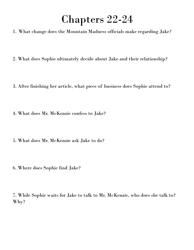# Chapters 22-24

1. What change does the Mountain Madness officials make regarding Jake?

2. What does Sophie ultimately decide about Jake and their relationship?

3. After finishing her article, what piece of business does Sophie attend to?

4. What does Mr. McKenzie confess to Jake?

5. What does Mr. McKenzie ask Jake to do?

6. Where does Sophie find Jake?

7. While Sophie waits for Jake to talk to Mr. McKenzie, who does she talk to? Why?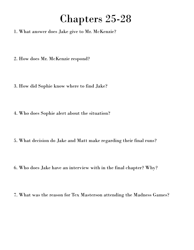### Chapters 25-28

- 1. What answer does Jake give to Mr. McKenzie?
- 2. How does Mr. McKenzie respond?
- 3. How did Sophie know where to find Jake?
- 4. Who does Sophie alert about the situation?
- 5. What decision do Jake and Matt make regarding their final runs?
- 6. Who does Jake have an interview with in the final chapter? Why?
- 7. What was the reason for Tex Masterson attending the Madness Games?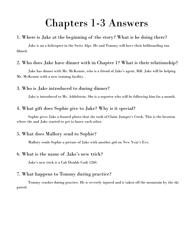### Chapters 1-3 Answers

#### 1. Where is Jake at the beginning of the story? What is he doing there?

Jake is on a helicopter in the Swiss Alps. He and Tommy will have their heliboarding run filmed.

#### 2. Who does Jake have dinner with in Chapter 1? What is their relationship?

Jake has dinner with Mr. McKenzie, who is a friend of Jake's agent, Bill. Jake will be helping Mr. McKenzie with a new training facility.

#### 3. Who is Jake introduced to during dinner?

Jake is introduced to Ms. Addelstein. She is a reporter who will be following him for a month.

#### 4. What gift does Sophie give to Jake? Why is it special?

Sophie gives Jake a framed photo that she took of Claim Jumper's Creek. This is the location where she and Jake started to get to know each other.

#### 5. What does Mallory send to Sophie?

Mallory sends Sophie a picture of Jake with another girl on New Year's Eve.

#### 6. What is the name of Jake's new trick?

Jake's new trick is a Cab Double Cork 1260.

#### 7. What happens to Tommy during practice?

Tommy crashes during practice. He is severely injured and is taken off the mountain by the ski patrol.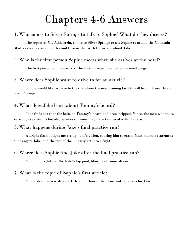### Chapters 4-6 Answers

#### 1. Who comes to Silver Springs to talk to Sophie? What do they discuss?

The reporter, Ms. Addelstein, comes to Silver Springs to ask Sophie to attend the Mountain Madness Games as a reporter and to assist her with the article about Jake.

#### 2. Who is the first person Sophie meets when she arrives at the hotel?

The first person Sophie meets at the hotel in Aspen is a bellboy named Jorge.

#### 3. Where does Sophie want to drive to for an article?

Sophie would like to drive to the site where the new training facility will be built, near Glenwood Springs.

#### 4. What does Jake learn about Tommy's board?

Jake finds out that the bolts on Tommy's board had been stripped. Vince, the man who takes care of Jake's team's boards, believes someone may have tampered with the board.

#### 5. What happens during Jake's final practice run?

A bright flash of light messes up Jake's vision, causing him to crash. Matt makes a statement that angers Jake, and the two of them nearly get into a fight.

#### 6. Where does Sophie find Jake after the final practice run?

Sophie finds Jake at the hotel's lap pool, blowing off some steam.

#### 7. What is the topic of Sophie's first article?

Sophie decides to write an article about how difficult instant fame was for Jake.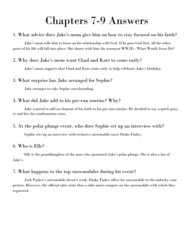### Chapters 7-9 Answers

#### 1. What advice does Jake's mom give him on how to stay focused on his faith?

Jake's mom tells him to focus on his relationship with God. If he puts God first, all the other parts of his life will fall into place. She shares with him the acronym WWJD - What Would Jesus Do?

#### 2. Why does Jake's mom want Chad and Kate to come early?

Jake's mom suggests that Chad and Kate come early to help celebrate Jake's birthday.

#### 3. What surprise has Jake arranged for Sophie?

Jake arranges to take Sophie snowboarding.

#### 4. What did Jake add to his pre-run routine? Why?

Jake wanted to add an element of his faith to his pre-run routine. He decided to say a quick prayer and kiss his confirmation cross.

#### 5. At the polar plunge event, who does Sophie set up an interview with?

Sophie sets up an interview with reclusive snowmobile racer Drake Finley.

#### 6. Who is Elle?

Elle is the granddaughter of the man who sponsored Jake's polar plunge. She is also a fan of Jake's.

#### 7. What happens to the top snowmobiler during his event?

Josh Parker's snowmobile doesn't work. Drake Finley offers his snowmobile to the unlucky competitor. However, the official rules state that a rider must compete on the snowmobile with which they registered.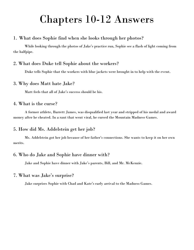### Chapters 10-12 Answers

#### 1. What does Sophie find when she looks through her photos?

While looking through the photos of Jake's practice run, Sophie see a flash of light coming from the halfpipe.

#### 2. What does Duke tell Sophie about the workers?

Duke tells Sophie that the workers with blue jackets were brought in to help with the event.

#### 3. Why does Matt hate Jake?

Matt feels that all of Jake's success should be his.

#### 4. What is the curse?

A former athlete, Barrett James, was disqualified last year and stripped of his medal and award money after he cheated. In a rant that went viral, he cursed the Mountain Madness Games.

#### 5. How did Ms. Addelstein get her job?

Ms. Addelstein got her job because of her father's connections. She wants to keep it on her own merits.

#### 6. Who do Jake and Sophie have dinner with?

Jake and Sophie have dinner with Jake's parents, Bill, and Mr. McKenzie.

#### 7. What was Jake's surprise?

Jake surprises Sophie with Chad and Kate's early arrival to the Madness Games.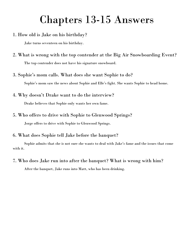### Chapters 13-15 Answers

1. How old is Jake on his birthday?

Jake turns seventeen on his birthday.

- 2. What is wrong with the top contender at the Big Air Snowboarding Event? The top contender does not have his signature snowboard.
- 3. Sophie's mom calls. What does she want Sophie to do?

Sophie's mom saw the news about Sophie and Elle's fight. She wants Sophie to head home.

4. Why doesn't Drake want to do the interview?

Drake believes that Sophie only wants her own fame.

5. Who offers to drive with Sophie to Glenwood Springs?

Jorge offers to drive with Sophie to Glenwood Springs.

#### 6. What does Sophie tell Jake before the banquet?

Sophie admits that she is not sure she wants to deal with Jake's fame and the issues that come with it.

7. Who does Jake run into after the banquet? What is wrong with him?

After the banquet, Jake runs into Matt, who has been drinking.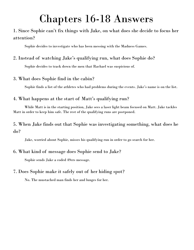### Chapters 16-18 Answers

#### 1. Since Sophie can't fix things with Jake, on what does she decide to focus her attention?

Sophie decides to investigate who has been messing with the Madness Games.

#### 2. Instead of watching Jake's qualifying run, what does Sophie do?

Sophie decides to track down the men that Rachael was suspicious of.

#### 3. What does Sophie find in the cabin?

Sophie finds a list of the athletes who had problems during the events. Jake's name is on the list.

#### 4. What happens at the start of Matt's qualifying run?

While Matt is in the starting position, Jake sees a laser light beam focused on Matt. Jake tackles Matt in order to keep him safe. The rest of the qualifying runs are postponed.

#### 5. When Jake finds out that Sophie was investigating something, what does he do?

Jake, worried about Sophie, misses his qualifying run in order to go search for her.

#### 6. What kind of message does Sophie send to Jake?

Sophie sends Jake a coded 49ers message.

#### 7. Does Sophie make it safely out of her hiding spot?

No. The mustached man finds her and lunges for her.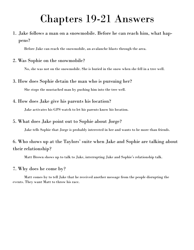### Chapters 19-21 Answers

1. Jake follows a man on a snowmobile. Before he can reach him, what happens?

Before Jake can reach the snowmobile, an avalanche blasts through the area.

#### 2. Was Sophie on the snowmobile?

No, she was not on the snowmobile. She is buried in the snow when she fell in a tree well.

#### 3. How does Sophie detain the man who is pursuing her?

She stops the mustached man by pushing him into the tree well.

#### 4. How does Jake give his parents his location?

Jake activates his GPS watch to let his parents know his location.

#### 5. What does Jake point out to Sophie about Jorge?

Jake tells Sophie that Jorge is probably interested in her and wants to be more than friends.

#### 6. Who shows up at the Taylors' suite when Jake and Sophie are talking about their relationship?

Matt Brown shows up to talk to Jake, interrupting Jake and Sophie's relationship talk.

#### 7. Why does he come by?

Matt comes by to tell Jake that he received another message from the people disrupting the events. They want Matt to throw his race.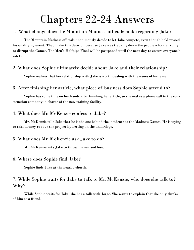### Chapters 22-24 Answers

#### 1. What change does the Mountain Madness officials make regarding Jake?

The Mountain Madness officials unanimously decide to let Jake compete, even though he'd missed his qualifying event. They make this decision because Jake was tracking down the people who are trying to disrupt the Games. The Men's Halfpipe Final will be postponed until the next day to ensure everyone's safety.

#### 2. What does Sophie ultimately decide about Jake and their relationship?

Sophie realizes that her relationship with Jake is worth dealing with the issues of his fame.

#### 3. After finishing her article, what piece of business does Sophie attend to?

Sophie has some time on her hands after finishing her article, so she makes a phone call to the construction company in charge of the new training facility.

#### 4. What does Mr. McKenzie confess to Jake?

Mr. McKenzie tells Jake that he is the one behind the incidents at the Madness Games. He is trying to raise money to save the project by betting on the underdogs.

#### 5. What does Mr. McKenzie ask Jake to do?

Mr. McKenzie asks Jake to throw his run and lose.

#### 6. Where does Sophie find Jake?

Sophie finds Jake at the nearby church.

#### 7. While Sophie waits for Jake to talk to Mr. McKenzie, who does she talk to? Why?

While Sophie waits for Jake, she has a talk with Jorge. She wants to explain that she only thinks of him as a friend.